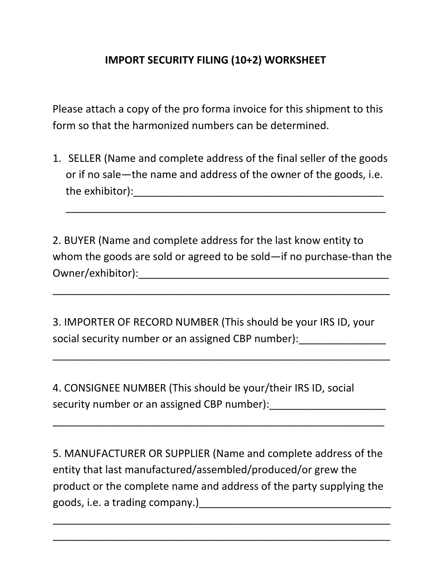## **IMPORT SECURITY FILING (10+2) WORKSHEET**

Please attach a copy of the pro forma invoice for this shipment to this form so that the harmonized numbers can be determined.

1. SELLER (Name and complete address of the final seller of the goods or if no sale—the name and address of the owner of the goods, i.e. the exhibitor): which is a set of the exhibitor  $\mathbf{r}$  is a set of the exhibitor  $\mathbf{r}$  is a set of the exhibitor  $\mathbf{r}$  is a set of the exhibitor  $\mathbf{r}$  is a set of the exhibitor  $\mathbf{r}$  is a set of the exhibitor

\_\_\_\_\_\_\_\_\_\_\_\_\_\_\_\_\_\_\_\_\_\_\_\_\_\_\_\_\_\_\_\_\_\_\_\_\_\_\_\_\_\_\_\_\_\_\_\_\_\_\_\_\_\_\_

2. BUYER (Name and complete address for the last know entity to whom the goods are sold or agreed to be sold—if no purchase-than the Owner/exhibitor):\_\_\_\_\_\_\_\_\_\_\_\_\_\_\_\_\_\_\_\_\_\_\_\_\_\_\_\_\_\_\_\_\_\_\_\_\_\_\_\_\_\_\_

\_\_\_\_\_\_\_\_\_\_\_\_\_\_\_\_\_\_\_\_\_\_\_\_\_\_\_\_\_\_\_\_\_\_\_\_\_\_\_\_\_\_\_\_\_\_\_\_\_\_\_\_\_\_\_\_\_\_

3. IMPORTER OF RECORD NUMBER (This should be your IRS ID, your social security number or an assigned CBP number):

\_\_\_\_\_\_\_\_\_\_\_\_\_\_\_\_\_\_\_\_\_\_\_\_\_\_\_\_\_\_\_\_\_\_\_\_\_\_\_\_\_\_\_\_\_\_\_\_\_\_\_\_\_\_\_\_\_\_

4. CONSIGNEE NUMBER (This should be your/their IRS ID, social security number or an assigned CBP number):

5. MANUFACTURER OR SUPPLIER (Name and complete address of the entity that last manufactured/assembled/produced/or grew the product or the complete name and address of the party supplying the goods, i.e. a trading company.)\_\_\_\_\_\_\_\_\_\_\_\_\_\_\_\_\_\_\_\_\_\_\_\_\_\_\_\_\_\_\_\_\_

\_\_\_\_\_\_\_\_\_\_\_\_\_\_\_\_\_\_\_\_\_\_\_\_\_\_\_\_\_\_\_\_\_\_\_\_\_\_\_\_\_\_\_\_\_\_\_\_\_\_\_\_\_\_\_\_\_\_

\_\_\_\_\_\_\_\_\_\_\_\_\_\_\_\_\_\_\_\_\_\_\_\_\_\_\_\_\_\_\_\_\_\_\_\_\_\_\_\_\_\_\_\_\_\_\_\_\_\_\_\_\_\_\_\_\_\_

\_\_\_\_\_\_\_\_\_\_\_\_\_\_\_\_\_\_\_\_\_\_\_\_\_\_\_\_\_\_\_\_\_\_\_\_\_\_\_\_\_\_\_\_\_\_\_\_\_\_\_\_\_\_\_\_\_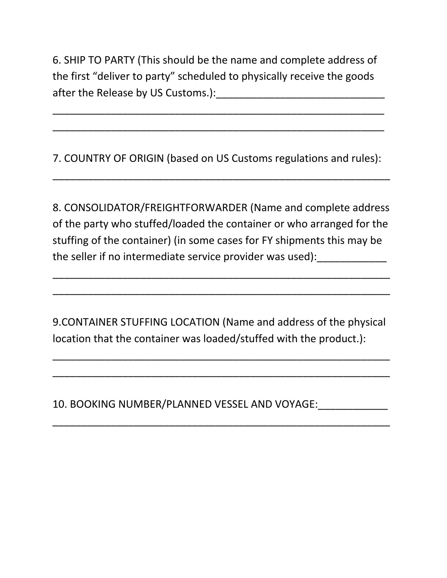6. SHIP TO PARTY (This should be the name and complete address of the first "deliver to party" scheduled to physically receive the goods after the Release by US Customs.):\_\_\_\_\_\_\_\_\_\_\_\_\_\_\_\_\_\_\_\_\_\_\_\_\_\_\_\_\_

\_\_\_\_\_\_\_\_\_\_\_\_\_\_\_\_\_\_\_\_\_\_\_\_\_\_\_\_\_\_\_\_\_\_\_\_\_\_\_\_\_\_\_\_\_\_\_\_\_\_\_\_\_\_\_\_\_

\_\_\_\_\_\_\_\_\_\_\_\_\_\_\_\_\_\_\_\_\_\_\_\_\_\_\_\_\_\_\_\_\_\_\_\_\_\_\_\_\_\_\_\_\_\_\_\_\_\_\_\_\_\_\_\_\_

7. COUNTRY OF ORIGIN (based on US Customs regulations and rules):

\_\_\_\_\_\_\_\_\_\_\_\_\_\_\_\_\_\_\_\_\_\_\_\_\_\_\_\_\_\_\_\_\_\_\_\_\_\_\_\_\_\_\_\_\_\_\_\_\_\_\_\_\_\_\_\_\_\_

8. CONSOLIDATOR/FREIGHTFORWARDER (Name and complete address of the party who stuffed/loaded the container or who arranged for the stuffing of the container) (in some cases for FY shipments this may be the seller if no intermediate service provider was used):

\_\_\_\_\_\_\_\_\_\_\_\_\_\_\_\_\_\_\_\_\_\_\_\_\_\_\_\_\_\_\_\_\_\_\_\_\_\_\_\_\_\_\_\_\_\_\_\_\_\_\_\_\_\_\_\_\_\_

\_\_\_\_\_\_\_\_\_\_\_\_\_\_\_\_\_\_\_\_\_\_\_\_\_\_\_\_\_\_\_\_\_\_\_\_\_\_\_\_\_\_\_\_\_\_\_\_\_\_\_\_\_\_\_\_\_\_

9.CONTAINER STUFFING LOCATION (Name and address of the physical location that the container was loaded/stuffed with the product.):

\_\_\_\_\_\_\_\_\_\_\_\_\_\_\_\_\_\_\_\_\_\_\_\_\_\_\_\_\_\_\_\_\_\_\_\_\_\_\_\_\_\_\_\_\_\_\_\_\_\_\_\_\_\_\_\_\_\_

\_\_\_\_\_\_\_\_\_\_\_\_\_\_\_\_\_\_\_\_\_\_\_\_\_\_\_\_\_\_\_\_\_\_\_\_\_\_\_\_\_\_\_\_\_\_\_\_\_\_\_\_\_\_\_\_\_\_

\_\_\_\_\_\_\_\_\_\_\_\_\_\_\_\_\_\_\_\_\_\_\_\_\_\_\_\_\_\_\_\_\_\_\_\_\_\_\_\_\_\_\_\_\_\_\_\_\_\_\_\_\_\_\_\_\_\_

10. BOOKING NUMBER/PLANNED VESSEL AND VOYAGE: